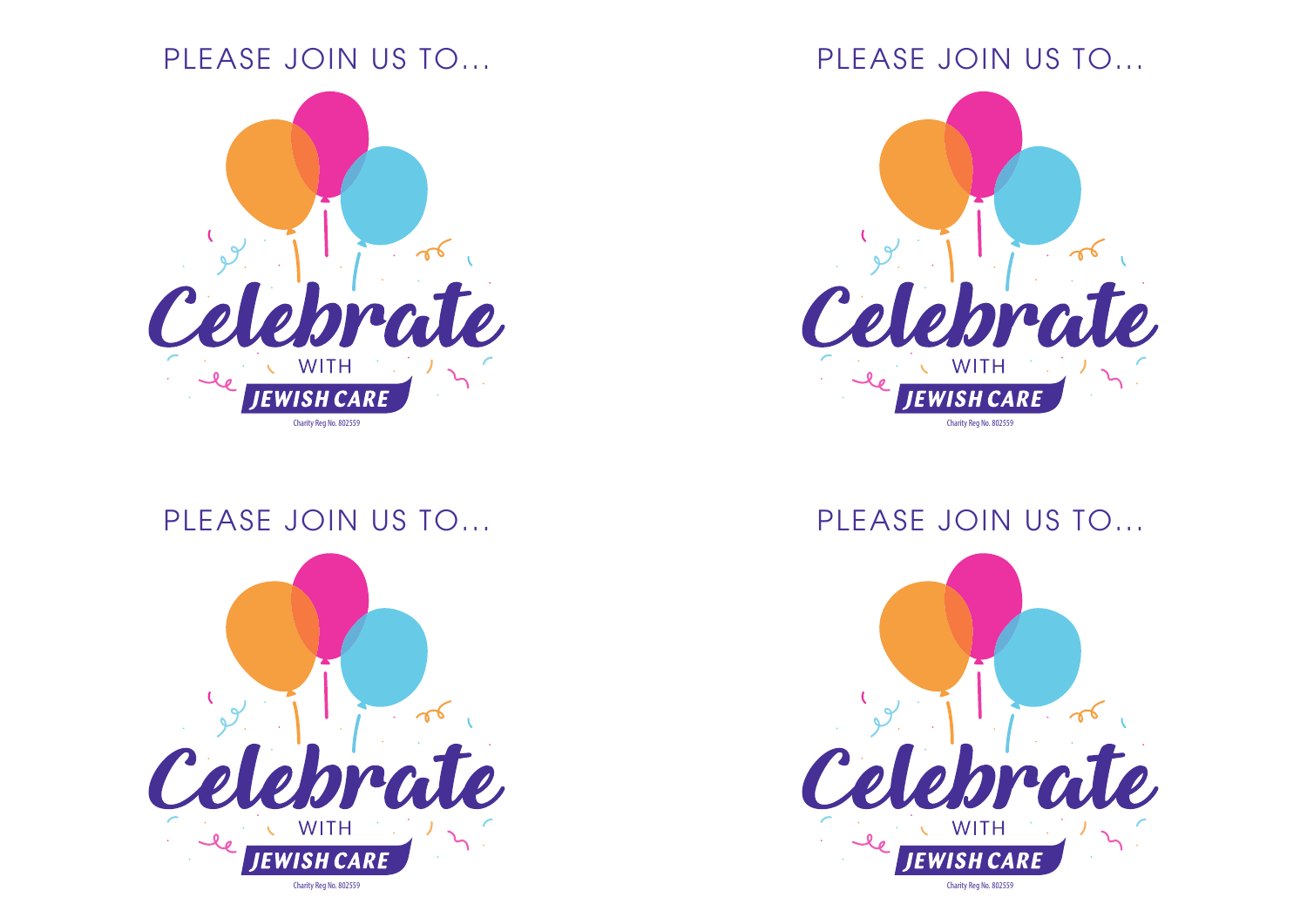# PLEASE JOIN US TO...



# PLEASE JOIN US TO...



# PLEASE JOIN US TO...



# PLEASE JOIN US TO...